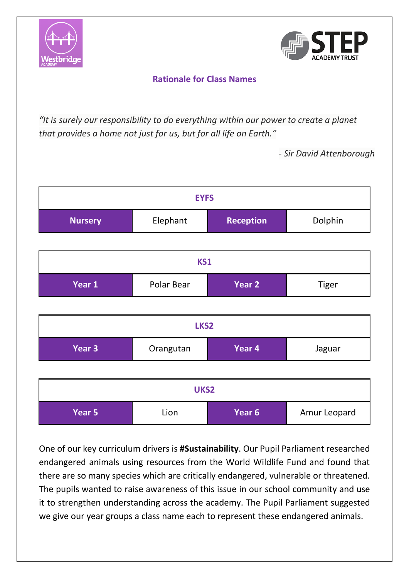



## **Rationale for Class Names**

*"It is surely our responsibility to do everything within our power to create a planet that provides a home not just for us, but for all life on Earth."*

*- Sir David Attenborough*



One of our key curriculum drivers is **#Sustainability**. Our Pupil Parliament researched endangered animals using resources from the World Wildlife Fund and found that there are so many species which are critically endangered, vulnerable or threatened. The pupils wanted to raise awareness of this issue in our school community and use it to strengthen understanding across the academy. The Pupil Parliament suggested we give our year groups a class name each to represent these endangered animals.